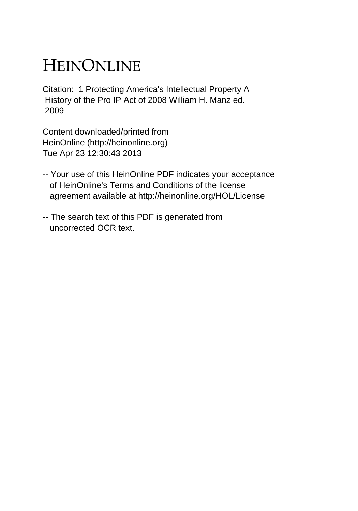# HEINONLINE

Citation: 1 Protecting America's Intellectual Property A History of the Pro IP Act of 2008 William H. Manz ed. 2009

Content downloaded/printed from HeinOnline (http://heinonline.org) Tue Apr 23 12:30:43 2013

- -- Your use of this HeinOnline PDF indicates your acceptance of HeinOnline's Terms and Conditions of the license agreement available at http://heinonline.org/HOL/License
- -- The search text of this PDF is generated from uncorrected OCR text.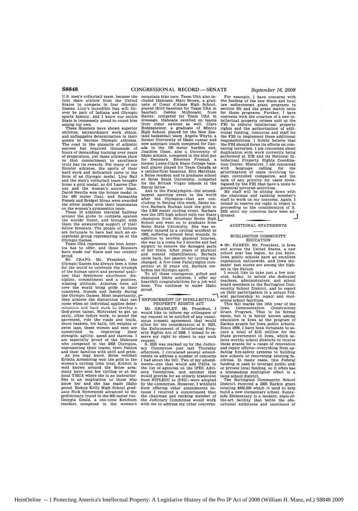first male athlete from the United cluded Idahoans: Matt Brown, a grad-States to compete in four Olympic uate of Coeur d'Alene High School, Games. Lloy's incredible feat will for- played third baseman for Team USA in ever sports history, and I know our entire Hailey, competed for Team USA in the sports history, and I know our entire Hailey, competed for Team USA in State is immensely proud to count him dressage. Idahoans excelled on teams State is immensely proud to count him dressage. Idahoans excelled on teams

among our own.<br>These Hoosiers have shown superior abilities, extraordinary work ethics,<br>and unflappable determination in their<br>quests to become Olympic athletes. The road to the pinnacle of athletic now assistant coach competed for Can-success has required thousands of ada in the **100** meter hurdles and, hours of ada in the 100 meter hurdles and, success has required thousands of ada in the 100 meter hurdles and,<br>hours of demanding training over years Joachim Olsen, also a University of<br>of repeated in the shot put of preparation, yet these athletes show Idaho athlete, competed in the shot put us that commitment to excellence for Denmark. Emerson Frostad, a truly has its rewards. For many of our former Lewis-Clark State College base-Hooster athletes, the spoils of their ball player played for Team Canada as<br>hard work and dedication came in the a catcher/first baseman. Eric Matthias<br>form of an Olympic medal. Lloy Ball a Boise resident and in graduate ney and the women's soccer team. discus throw.<br>David Neville won the bronze medal in And in the Paralympics—the second-<br>David Neville won the bronze medal in Angles and the media

the worlds' finest, and brought with<br>the worlds' finest, and brought with<br>them the unwavering support of their<br>fellow Hoosiers. The people of Indiana<br>are fortunate to have had such an exthem the unwavering support of their School and went on to graduate from<br>fellow Hoosiers. The people of Indiana Boise State University. She was se-<br>them to graduate in the second their se-

ica has to offer, and these Hoosiers surgery to remove the damaged parts<br>have made our State and our country of her brain. After years of physical<br>proud.

proud. The came back, her passion for cycling under<br>Mr. CRAPO. Mr. President, the came back, her passion for cycling un-<br>Olympic Games has always been a time changed. A five-time Paralympics com-<br>for the world to celebrat over the world bring pride to their countries, friends and family during proud.<br>
the Olympic Games. Most importantly, respectively.<br>
they achieve the distinction that can FENFORCEMENT OF INTELLECTUAL cher,  $\alpha$  is determined applies deter-<br>they achieve the distinction that can  $\parallel$  ENFORCEMENTY RIGHTS ACT<br>come when an individual applies deter-<br>mination and hard work to develop a<br> $\parallel$  Mr. GRASSLEY. Mr. President, 1 mination and hard work to develop a God-given talent. Motivated to get up would like to inform my colleagues of early, often before work, to pound the my request to be noticed to pay unani-<br>pavement, ride the roads and trails, mous consent agreement that wo early, often before work, to pound the  $\frac{1}{2}$  music to be notified of any unani-<br>pavement, ride the roads and trails, mous consent agreement that would<br>shoot baskets, hit balls, lift weights or allow for the considerat swim laps, these women and men are the Enforcement of Intellectual Prop-committed to improving their erty Rights Act of **2008.** I intend to restrength, agility, speed and stamina. I serve my right to object to any such<br>am especially proud of the Idahoans request.<br>who competed in the 2008 Olympics, S. 3325 was marked up by the Judici<br>representing their teams, the and their families with skill and pride. afternoon. I circulated several amend-<br>As you may know, Bolse resident ments to address a number of concerns<br>Kristin Armstrong won the gold in the I had about the bill. Two of my am women's cycling time trial. Kristin is ments-one that would add USDA to well known around the Boise area: the list of agencies on the IPEC Advi-many have seen her cycling or at the sory Committee, and another that local YMCA where she is an instructor, would provide for an orderly transition She is an inspiration to those who from NIPLECC to IPEC-were adopted<br>know her and she has made Idaho by the committee. However, I withheld proud. Bishop Kelly High School grad- from offering other amendments be-<br>uate Nick Symmonds advanced to the cause I received a commitment that<br>preliminary round in the 800 meter run. the chairman and ranking member of Georgia Gould, a one-time Ketchum the Judiciary Committee would work resident competed in the women's with me to address my other concerns.

U.S. men's volleyball team, became the mountain bike race. Team USA also in-<br>first male athlete from the United cluded Idahoans: Matt Brown, a grad-<br>States to compete in four Olympic uate of Coeur d'Alene High School, These Hoosiers have shown superior Bodensteiner, a graduate of Minico abilities, extraordinary work ethics, High School, played for the New Zearing to beasterball team. Angela Whyte, a<br>former University of Idaho runner and<br>now assistant coach competed for Can-

ble 400 meter final, and Samantha largest sporting event in the world<br>
Peszek and Bridget Sloan were awarded after the Olympics—that are con-<br>
the silver medal with their teammates idve Barbara Buchan took the gold in<br>
the These **10** athletes traveled halfway the 3,000 meter cycling event. Barbara<br>around the globe to compete against was the 1972 high school mile run State are fortunate to have had such an ex- very injured in a cycling almost fatal wounds. In<br>ceptional group representing us at the **1982, suffering almost fatal wounds. In**<br>Team USA represents the best Amer- she was in a coma Team USA represents the best Amer- she was in a coma for 2 months and had **ff** d.... d.

For example, I have concerns with the funding of the new State and local law enforcement grant programs in<br>section 501 and the grant match ratio<br>for those programs. Further, I have<br>concerns with the creation of a new intellectual property crimes unit at the FBI to enforce intellectual property rights and the authorization of additional funding, resources and staff for the FBI to implement these additional responsibilities. I firmly believe that the FBI should focus its efforts on com-bating terrorism. I am concerned about duplication with work currently being performed at ICE and its National Intellectual Property Rights Coordina-tion Center. Moreover, I am concerned with language calling for the prioritization of cases involving for-eign controlled companies, and the lack of any priority for cases inves-tigated by the FBI that have a nexis to

potential terrorist activities. My staff will be sitting down with the chairman and ranking member's staff to work on my concerns. Again, I intend to reserve my right to object to proceeding to the consideration of S. **3325** until my concerns have been ad-

### ADDITIONAL STATEMENTS

#### BURLINGTON COMMUNITY EDUCATION

\* Mr.-IARKIN. Mr, President, in Iowa and across the United States, a new school year has begun. As you know, Iowa public schools have an excellent reputation nationwide, and Iowa stu-

dents' test scores are among the highest in the Nation.<br>I would like to take just a few min-<br>It would like to take just a few min-<br>teachers, today, to salute the dedicated<br>teachers, administrators, and school<br>board members

This fall marks the 10th year of the iowa Demonstration Construction Grant Program. That is its formal name, but it is better known among educators in Iowa as the program of Harkin grants for Iowa public schools. Since **1998,** I have been fortunate to secure a total of \$121 million for the State government in Iowa, which selects worthy school districts to receive these grants for a range of renovation and repair efforts-everything from updating fire-safety systems to building new schools or renovating existing facilities. In many cases, this Federal funding is used to leverage public and/ or private local funding, so it often has tremendous multiplier effect in a

local school district. The Burlington Community School District received a **2006** Harkin grant totaling **\$500,000** which it used to help build a new elementary school. Sunnyside Elementary is a modern, state-ofthe-art facility that befits the edu-cational ambitions and excellence of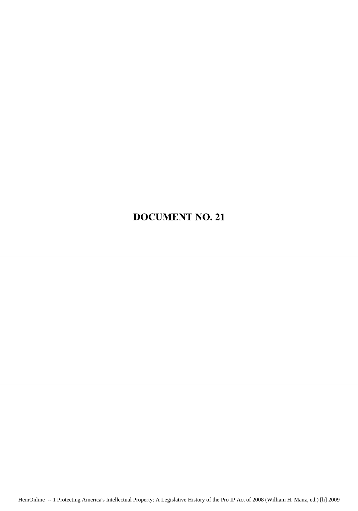## DOCUMENT NO. 21